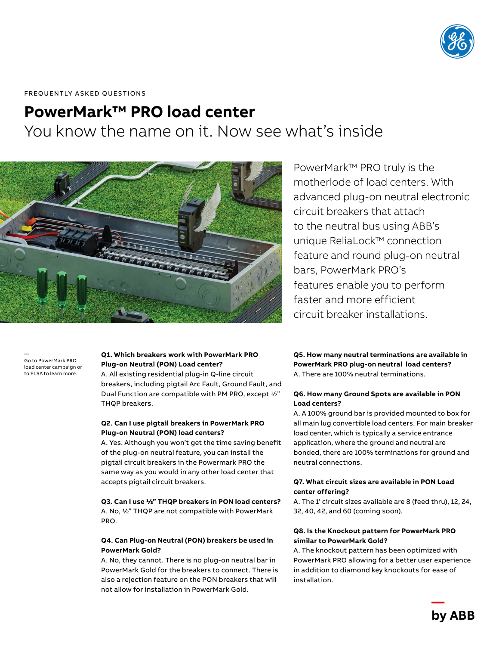

FREQUENTLY ASKED QUESTIONS

# **PowerMark™ PRO load center**

You know the name on it. Now see what's inside



— Go to PowerMark PRO load center campaign or to ELSA to learn more.

#### **Q1. Which breakers work with PowerMark PRO Plug-on Neutral (PON) Load center?**

A. All existing residential plug-in Q-line circuit breakers, including pigtail Arc Fault, Ground Fault, and Dual Function are compatible with PM PRO, except ½" THQP breakers.

#### **Q2. Can I use pigtail breakers in PowerMark PRO Plug-on Neutral (PON) load centers?**

A. Yes. Although you won't get the time saving benefit of the plug-on neutral feature, you can install the pigtail circuit breakers in the Powermark PRO the same way as you would in any other load center that accepts pigtail circuit breakers.

## **Q3. Can I use ½" THQP breakers in PON load centers?**

A. No, ½" THQP are not compatible with PowerMark PRO.

#### **Q4. Can Plug-on Neutral (PON) breakers be used in PowerMark Gold?**

A. No, they cannot. There is no plug-on neutral bar in PowerMark Gold for the breakers to connect. There is also a rejection feature on the PON breakers that will not allow for installation in PowerMark Gold.

PowerMark™ PRO truly is the motherlode of load centers. With advanced plug-on neutral electronic circuit breakers that attach to the neutral bus using ABB's unique ReliaLock™ connection feature and round plug-on neutral bars, PowerMark PRO's features enable you to perform faster and more efficient circuit breaker installations.

#### **Q5. How many neutral terminations are available in PowerMark PRO plug-on neutral load centers?** A. There are 100% neutral terminations.

## **Q6. How many Ground Spots are available in PON Load centers?**

A. A 100% ground bar is provided mounted to box for all main lug convertible load centers. For main breaker load center, which is typically a service entrance application, where the ground and neutral are bonded, there are 100% terminations for ground and neutral connections.

### **Q7. What circuit sizes are available in PON Load center offering?**

A. The 1' circuit sizes available are 8 (feed thru), 12, 24, 32, 40, 42, and 60 (coming soon).

## **Q8. Is the Knockout pattern for PowerMark PRO similar to PowerMark Gold?**

A. The knockout pattern has been optimized with PowerMark PRO allowing for a better user experience in addition to diamond key knockouts for ease of installation.